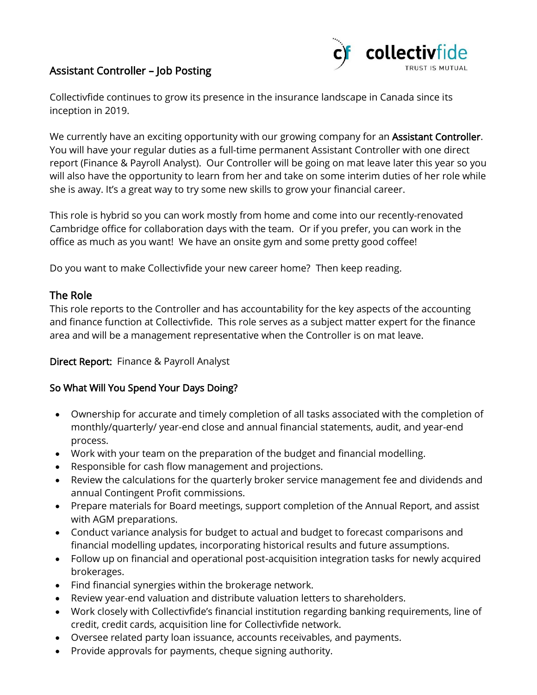# Assistant Controller – Job Posting



Collectivfide continues to grow its presence in the insurance landscape in Canada since its inception in 2019.

We currently have an exciting opportunity with our growing company for an Assistant Controller. You will have your regular duties as a full-time permanent Assistant Controller with one direct report (Finance & Payroll Analyst). Our Controller will be going on mat leave later this year so you will also have the opportunity to learn from her and take on some interim duties of her role while she is away. It's a great way to try some new skills to grow your financial career.

This role is hybrid so you can work mostly from home and come into our recently-renovated Cambridge office for collaboration days with the team. Or if you prefer, you can work in the office as much as you want! We have an onsite gym and some pretty good coffee!

Do you want to make Collectivfide your new career home? Then keep reading.

### The Role

This role reports to the Controller and has accountability for the key aspects of the accounting and finance function at Collectivfide. This role serves as a subject matter expert for the finance area and will be a management representative when the Controller is on mat leave.

#### Direct Report: Finance & Payroll Analyst

#### So What Will You Spend Your Days Doing?

- Ownership for accurate and timely completion of all tasks associated with the completion of monthly/quarterly/ year-end close and annual financial statements, audit, and year-end process.
- Work with your team on the preparation of the budget and financial modelling.
- Responsible for cash flow management and projections.
- Review the calculations for the quarterly broker service management fee and dividends and annual Contingent Profit commissions.
- Prepare materials for Board meetings, support completion of the Annual Report, and assist with AGM preparations.
- Conduct variance analysis for budget to actual and budget to forecast comparisons and financial modelling updates, incorporating historical results and future assumptions.
- Follow up on financial and operational post-acquisition integration tasks for newly acquired brokerages.
- Find financial synergies within the brokerage network.
- Review year-end valuation and distribute valuation letters to shareholders.
- Work closely with Collectivfide's financial institution regarding banking requirements, line of credit, credit cards, acquisition line for Collectivfide network.
- Oversee related party loan issuance, accounts receivables, and payments.
- Provide approvals for payments, cheque signing authority.